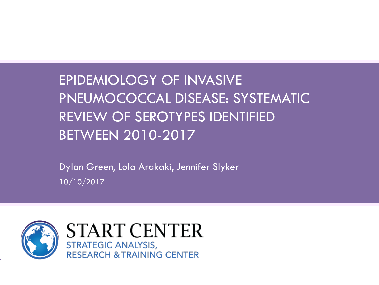# EPIDEMIOLOGY OF INVASIVE PNEUMOCOCCAL DISEASE: SYSTEMATIC REVIEW OF SEROTYPES IDENTIFIED BETWEEN 2010-2017

Dylan Green, Lola Arakaki, Jennifer Slyker 10/10/2017

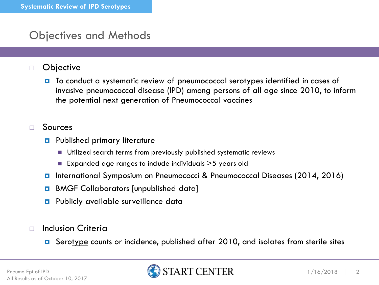### Objectives and Methods

#### Objective

■ To conduct a systematic review of pneumococcal serotypes identified in cases of invasive pneumococcal disease (IPD) among persons of all age since 2010, to inform the potential next generation of Pneumococcal vaccines

#### $\Box$  Sources

- **Published primary literature** 
	- Utilized search terms from previously published systematic reviews
	- **Expanded age ranges to include individuals**  $>$  5 years old
- International Symposium on Pneumococci & Pneumococcal Diseases (2014, 2016)
- **BMGF Collaborators [unpublished data]**
- **Publicly available surveillance data**

#### $\Box$  Inclusion Criteria

■ Serotype counts or incidence, published after 2010, and isolates from sterile sites

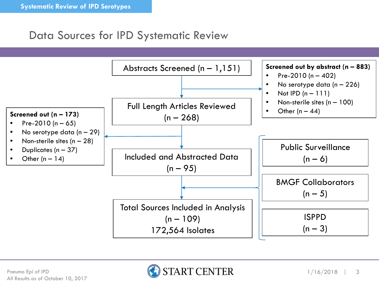### Data Sources for IPD Systematic Review



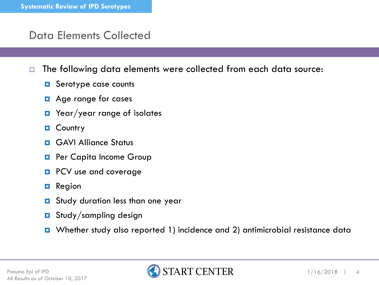### Data Elements Collected

- $\Box$  The following data elements were collected from each data source:
	- **D** Serotype case counts
	- **D** Age range for cases
	- **D** Year/year range of isolates
	- **D** Country
	- **D** GAVI Alliance Status
	- **Paradella Capita Income Group**
	- **PCV** use and coverage
	- $\blacksquare$  Region
	- **D** Study duration less than one year
	- **D** Study/sampling design
	- Whether study also reported 1) incidence and 2) antimicrobial resistance data

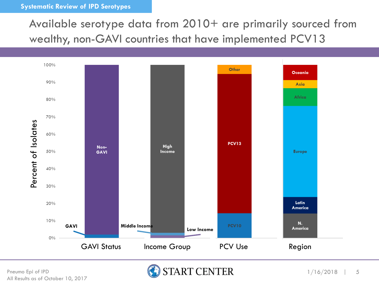#### **Systematic Review of IPD Serotypes**

Available serotype data from 2010+ are primarily sourced from wealthy, non-GAVI countries that have implemented PCV13



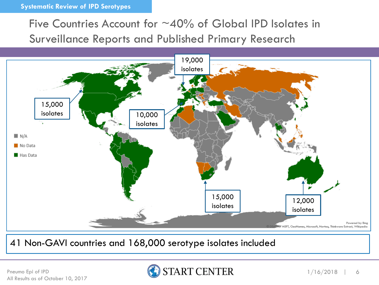### Five Countries Account for  $\sim$ 40% of Global IPD Isolates in Surveillance Reports and Published Primary Research



41 Non-GAVI countries and 168,000 serotype isolates included

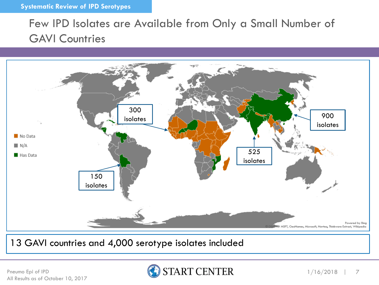## Few IPD Isolates are Available from Only a Small Number of GAVI Countries



13 GAVI countries and 4,000 serotype isolates included

Pneumo Epi of IPD All Results as of October 10, 2017

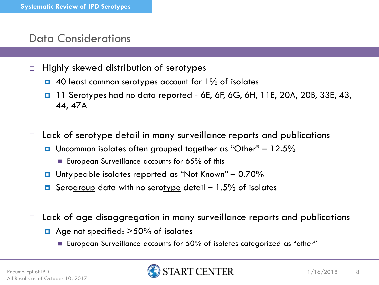#### Data Considerations

- $\Box$  Highly skewed distribution of serotypes
	- $\Box$  40 least common serotypes account for  $1\%$  of isolates
	- **1** 11 Serotypes had no data reported 6E, 6F, 6G, 6H, 11E, 20A, 20B, 33E, 43, 44, 47A
- $\Box$  Lack of serotype detail in many surveillance reports and publications
	- **u** Uncommon isolates often grouped together as "Other"  $-12.5%$ 
		- European Surveillance accounts for  $65\%$  of this
	- Untypeable isolates reported as "Not Known" 0.70%
	- **D** Serogroup data with no serotype detail  $-1.5\%$  of isolates
- $\Box$  Lack of age disaggregation in many surveillance reports and publications
	- $\blacksquare$  Age not specified:  $>50\%$  of isolates
		- European Surveillance accounts for 50% of isolates categorized as "other"